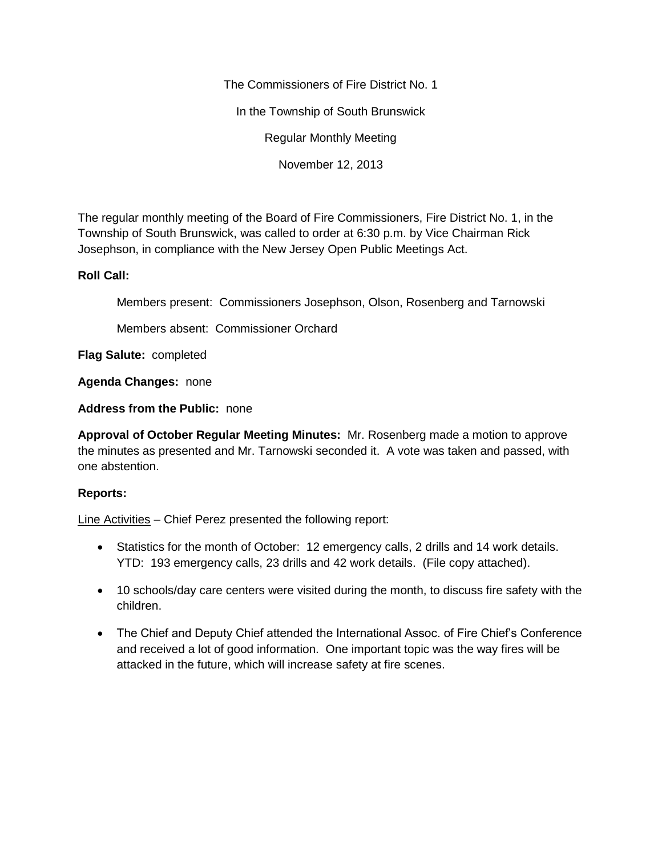The Commissioners of Fire District No. 1

In the Township of South Brunswick

Regular Monthly Meeting

November 12, 2013

The regular monthly meeting of the Board of Fire Commissioners, Fire District No. 1, in the Township of South Brunswick, was called to order at 6:30 p.m. by Vice Chairman Rick Josephson, in compliance with the New Jersey Open Public Meetings Act.

## **Roll Call:**

Members present: Commissioners Josephson, Olson, Rosenberg and Tarnowski

Members absent: Commissioner Orchard

**Flag Salute:** completed

**Agenda Changes:** none

**Address from the Public:** none

**Approval of October Regular Meeting Minutes:** Mr. Rosenberg made a motion to approve the minutes as presented and Mr. Tarnowski seconded it. A vote was taken and passed, with one abstention.

## **Reports:**

Line Activities – Chief Perez presented the following report:

- Statistics for the month of October: 12 emergency calls, 2 drills and 14 work details. YTD: 193 emergency calls, 23 drills and 42 work details. (File copy attached).
- 10 schools/day care centers were visited during the month, to discuss fire safety with the children.
- The Chief and Deputy Chief attended the International Assoc. of Fire Chief's Conference and received a lot of good information. One important topic was the way fires will be attacked in the future, which will increase safety at fire scenes.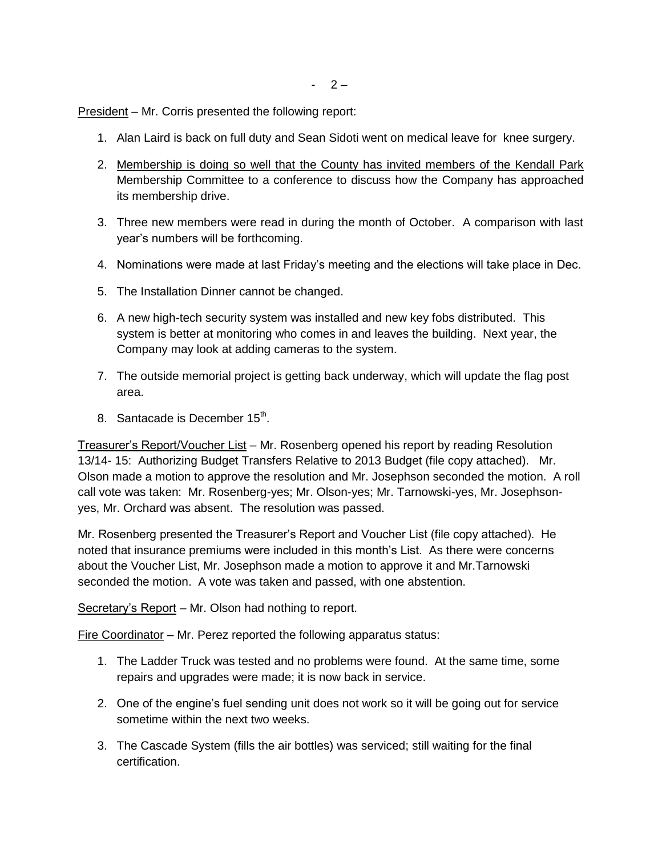President – Mr. Corris presented the following report:

- 1. Alan Laird is back on full duty and Sean Sidoti went on medical leave for knee surgery.
- 2. Membership is doing so well that the County has invited members of the Kendall Park Membership Committee to a conference to discuss how the Company has approached its membership drive.
- 3. Three new members were read in during the month of October. A comparison with last year's numbers will be forthcoming.
- 4. Nominations were made at last Friday's meeting and the elections will take place in Dec.
- 5. The Installation Dinner cannot be changed.
- 6. A new high-tech security system was installed and new key fobs distributed. This system is better at monitoring who comes in and leaves the building. Next year, the Company may look at adding cameras to the system.
- 7. The outside memorial project is getting back underway, which will update the flag post area.
- 8. Santacade is December 15<sup>th</sup>.

Treasurer's Report/Voucher List – Mr. Rosenberg opened his report by reading Resolution 13/14- 15: Authorizing Budget Transfers Relative to 2013 Budget (file copy attached). Mr. Olson made a motion to approve the resolution and Mr. Josephson seconded the motion. A roll call vote was taken: Mr. Rosenberg-yes; Mr. Olson-yes; Mr. Tarnowski-yes, Mr. Josephsonyes, Mr. Orchard was absent. The resolution was passed.

Mr. Rosenberg presented the Treasurer's Report and Voucher List (file copy attached). He noted that insurance premiums were included in this month's List. As there were concerns about the Voucher List, Mr. Josephson made a motion to approve it and Mr.Tarnowski seconded the motion. A vote was taken and passed, with one abstention.

Secretary's Report – Mr. Olson had nothing to report.

Fire Coordinator – Mr. Perez reported the following apparatus status:

- 1. The Ladder Truck was tested and no problems were found. At the same time, some repairs and upgrades were made; it is now back in service.
- 2. One of the engine's fuel sending unit does not work so it will be going out for service sometime within the next two weeks.
- 3. The Cascade System (fills the air bottles) was serviced; still waiting for the final certification.